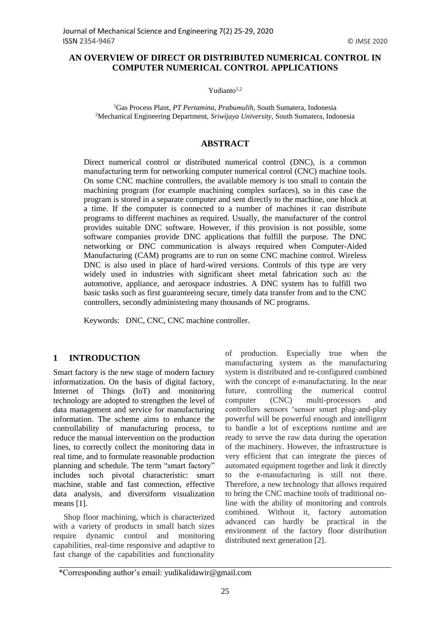## **AN OVERVIEW OF DIRECT OR DISTRIBUTED NUMERICAL CONTROL IN COMPUTER NUMERICAL CONTROL APPLICATIONS**

Yudianto $1,2$ 

<sup>1</sup>Gas Process Plant, *PT Pertamina, Prabumulih,* South Sumatera, Indonesia <sup>2</sup>Mechanical Engineering Department, *Sriwijaya University,* South Sumatera, Indonesia

#### **ABSTRACT**

Direct numerical control or distributed numerical control (DNC), is a common manufacturing term for networking computer numerical control (CNC) machine tools. On some CNC machine controllers, the available memory is too small to contain the machining program (for example machining complex surfaces), so in this case the program is stored in a separate computer and sent directly to the machine, one block at a time. If the computer is connected to a number of machines it can distribute programs to different machines as required. Usually, the manufacturer of the control provides suitable DNC software. However, if this provision is not possible, some software companies provide DNC applications that fulfill the purpose. The DNC networking or DNC communication is always required when Computer-Aided Manufacturing (CAM) programs are to run on some CNC machine control. Wireless DNC is also used in place of hard-wired versions. Controls of this type are very widely used in industries with significant sheet metal fabrication such as: the automotive, appliance, and aerospace industries. A DNC system has to fulfill two basic tasks such as first guaranteeing secure, timely data transfer from and to the CNC controllers, secondly administering many thousands of NC programs.

Keywords: DNC, CNC, CNC machine controller.

### **1 INTRODUCTION**

Smart factory is the new stage of modern factory informatization. On the basis of digital factory, Internet of Things (IoT) and monitoring technology are adopted to strengthen the level of data management and service for manufacturing information. The scheme aims to enhance the controllability of manufacturing process, to reduce the manual intervention on the production lines, to correctly collect the monitoring data in real time, and to formulate reasonable production planning and schedule. The term "smart factory" includes such pivotal characteristic: smart machine, stable and fast connection, effective data analysis, and diversiform visualization means [1].

Shop floor machining, which is characterized with a variety of products in small batch sizes require dynamic control and monitoring capabilities, real-time responsive and adaptive to fast change of the capabilities and functionality

of production. Especially true when the manufacturing system as the manufacturing system is distributed and re-configured combined with the concept of e-manufacturing. In the near future, controlling the numerical control computer (CNC) multi-processors and controllers sensors 'sensor smart plug-and-play powerful will be powerful enough and intelligent to handle a lot of exceptions runtime and are ready to serve the raw data during the operation of the machinery. However, the infrastructure is very efficient that can integrate the pieces of automated equipment together and link it directly to the e-manufacturing is still not there. Therefore, a new technology that allows required to bring the CNC machine tools of traditional online with the ability of monitoring and controls combined. Without it, factory automation advanced can hardly be practical in the environment of the factory floor distribution distributed next generation [2].

<sup>\*</sup>Corresponding author's email: yudikalidawir@gmail.com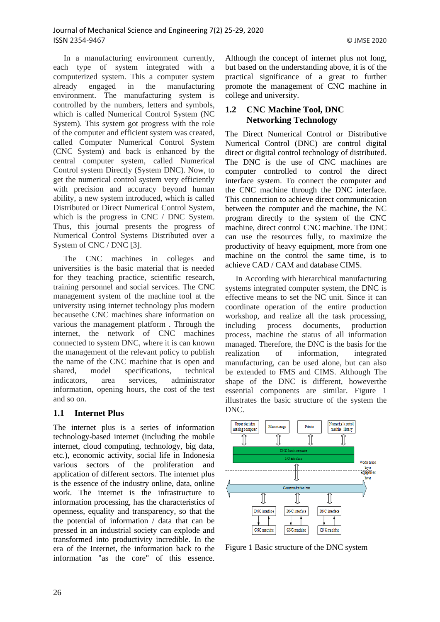In a manufacturing environment currently, each type of system integrated with a computerized system. This a computer system already engaged in the manufacturing environment. The manufacturing system is controlled by the numbers, letters and symbols, which is called Numerical Control System (NC System). This system got progress with the role of the computer and efficient system was created, called Computer Numerical Control System (CNC System) and back is enhanced by the central computer system, called Numerical Control system Directly (System DNC). Now, to get the numerical control system very efficiently with precision and accuracy beyond human ability, a new system introduced, which is called Distributed or Direct Numerical Control System, which is the progress in CNC / DNC System. Thus, this journal presents the progress of Numerical Control Systems Distributed over a System of CNC / DNC [3].

The CNC machines in colleges and universities is the basic material that is needed for they teaching practice, scientific research, training personnel and social services. The CNC management system of the machine tool at the university using internet technology plus modern becausethe CNC machines share information on various the management platform . Through the internet, the network of CNC machines connected to system DNC, where it is can known the management of the relevant policy to publish the name of the CNC machine that is open and shared, model specifications, technical indicators, area services, administrator information, opening hours, the cost of the test and so on.

### **1.1 Internet Plus**

The internet plus is a series of information technology-based internet (including the mobile internet, cloud computing, technology, big data, etc.), economic activity, social life in Indonesia various sectors of the proliferation and application of different sectors. The internet plus is the essence of the industry online, data, online work. The internet is the infrastructure to information processing, has the characteristics of openness, equality and transparency, so that the the potential of information / data that can be pressed in an industrial society can explode and transformed into productivity incredible. In the era of the Internet, the information back to the information "as the core" of this essence.

Although the concept of internet plus not long, but based on the understanding above, it is of the practical significance of a great to further promote the management of CNC machine in college and university.

## **1.2 CNC Machine Tool, DNC Networking Technology**

The Direct Numerical Control or Distributive Numerical Control (DNC) are control digital direct or digital control technology of distributed. The DNC is the use of CNC machines are computer controlled to control the direct interface system. To connect the computer and the CNC machine through the DNC interface. This connection to achieve direct communication between the computer and the machine, the NC program directly to the system of the CNC machine, direct control CNC machine. The DNC can use the resources fully, to maximize the productivity of heavy equipment, more from one machine on the control the same time, is to achieve CAD / CAM and database CIMS.

In According with hierarchical manufacturing systems integrated computer system, the DNC is effective means to set the NC unit. Since it can coordinate operation of the entire production workshop, and realize all the task processing, including process documents, production process, machine the status of all information managed. Therefore, the DNC is the basis for the realization of information, integrated manufacturing, can be used alone, but can also be extended to FMS and CIMS. Although The shape of the DNC is different, howeverthe essential components are similar. [Figure 1](#page-1-0) illustrates the basic structure of the system the DNC.



<span id="page-1-0"></span>Figure 1 Basic structure of the DNC system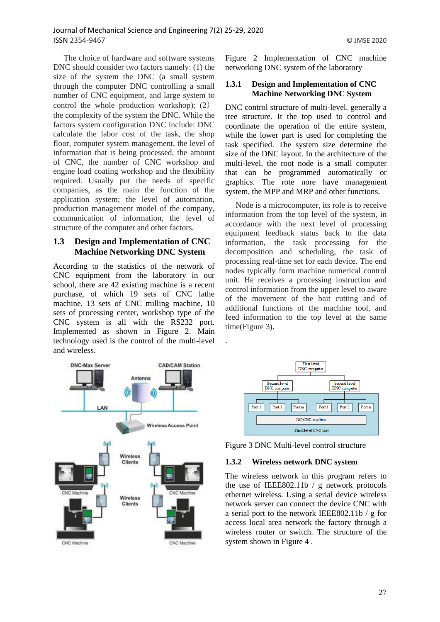The choice of hardware and software systems DNC should consider two factors namely: (1) the size of the system the DNC (a small system through the computer DNC controlling a small number of CNC equipment, and large system to control the whole production workshop); (2) the complexity of the system the DNC. While the factors system configuration DNC include: DNC calculate the labor cost of the task, the shop floor, computer system management, the level of information that is being processed, the amount of CNC, the number of CNC workshop and engine load coating workshop and the flexibility required. Usually put the needs of specific companies, as the main the function of the application system; the level of automation, production management model of the company, communication of information, the level of structure of the computer and other factors.

### **1.3 Design and Implementation of CNC Machine Networking DNC System**

According to the statistics of the network of CNC equipment from the laboratory in our school, there are 42 existing machine is a recent purchase, of which 19 sets of CNC lathe machine, 13 sets of CNC milling machine, 10 sets of processing center, workshop type of the CNC system is all with the RS232 port. Implemented as shown in [Figure 2.](#page-2-0) Main technology used is the control of the multi-level and wireless.

<span id="page-2-0"></span>Figure 2 Implementation of CNC machine networking DNC system of the laboratory

### **1.3.1 Design and Implementation of CNC Machine Networking DNC System**

DNC control structure of multi-level, generally a tree structure. It the top used to control and coordinate the operation of the entire system, while the lower part is used for completing the task specified. The system size determine the size of the DNC layout. In the architecture of the multi-level, the root node is a small computer that can be programmed automatically or graphics. The rote nore have management system, the MPP and MRP and other functions.

Node is a microcomputer, its role is to receive information from the top level of the system, in accordance with the next level of processing equipment feedback status back to the data information, the task processing for the decomposition and scheduling, the task of processing real-time set for each device. The end nodes typically form machine numerical control unit. He receives a processing instruction and control information from the upper level to aware of the movement of the bait cutting and of additional functions of the machine tool, and feed information to the top level at the same time[\(Figure 3\)](#page-2-1)**.**





<span id="page-2-1"></span>Figure 3 DNC Multi-level control structure

### **1.3.2 Wireless network DNC system**

.

The wireless network in this program refers to the use of IEEE802.11b / g network protocols ethernet wireless. Using a serial device wireless network server can connect the device CNC with a serial port to the network IEEE802.11b / g for access local area network the factory through a wireless router or switch. The structure of the system shown in [Figure 4](#page-3-0) .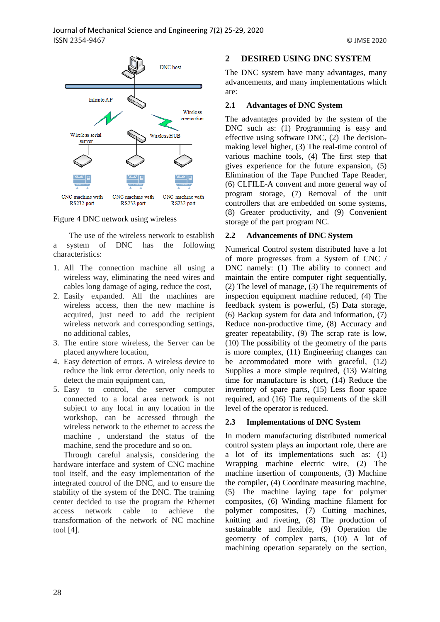

<span id="page-3-0"></span>Figure 4 DNC network using wireless

The use of the wireless network to establish a system of DNC has the following characteristics:

- 1. All The connection machine all using a wireless way, eliminating the need wires and cables long damage of aging, reduce the cost,
- 2. Easily expanded. All the machines are wireless access, then the new machine is acquired, just need to add the recipient wireless network and corresponding settings, no additional cables,
- 3. The entire store wireless, the Server can be placed anywhere location,
- 4. Easy detection of errors. A wireless device to reduce the link error detection, only needs to detect the main equipment can,
- 5. Easy to control, the server computer connected to a local area network is not subject to any local in any location in the workshop, can be accessed through the wireless network to the ethernet to access the machine , understand the status of the machine, send the procedure and so on.

Through careful analysis, considering the hardware interface and system of CNC machine tool itself, and the easy implementation of the integrated control of the DNC, and to ensure the stability of the system of the DNC. The training center decided to use the program the Ethernet access network cable to achieve the transformation of the network of NC machine tool [4].

# **2 DESIRED USING DNC SYSTEM**

The DNC system have many advantages, many advancements, and many implementations which are:

### **2.1 Advantages of DNC System**

The advantages provided by the system of the DNC such as: (1) Programming is easy and effective using software DNC, (2) The decisionmaking level higher, (3) The real-time control of various machine tools, (4) The first step that gives experience for the future expansion, (5) Elimination of the Tape Punched Tape Reader, (6) CLFILE-A convent and more general way of program storage, (7) Removal of the unit controllers that are embedded on some systems, (8) Greater productivity, and (9) Convenient storage of the part program NC.

### **2.2 Advancements of DNC System**

Numerical Control system distributed have a lot of more progresses from a System of CNC / DNC namely: (1) The ability to connect and maintain the entire computer right sequentially, (2) The level of manage, (3) The requirements of inspection equipment machine reduced, (4) The feedback system is powerful, (5) Data storage, (6) Backup system for data and information, (7) Reduce non-productive time, (8) Accuracy and greater repeatability, (9) The scrap rate is low, (10) The possibility of the geometry of the parts is more complex, (11) Engineering changes can be accommodated more with graceful, (12) Supplies a more simple required, (13) Waiting time for manufacture is short, (14) Reduce the inventory of spare parts, (15) Less floor space required, and (16) The requirements of the skill level of the operator is reduced.

### **2.3 Implementations of DNC System**

In modern manufacturing distributed numerical control system plays an important role, there are a lot of its implementations such as: (1) Wrapping machine electric wire, (2) The machine insertion of components, (3) Machine the compiler, (4) Coordinate measuring machine, (5) The machine laying tape for polymer composites, (6) Winding machine filament for polymer composites, (7) Cutting machines, knitting and riveting, (8) The production of sustainable and flexible, (9) Operation the geometry of complex parts, (10) A lot of machining operation separately on the section,